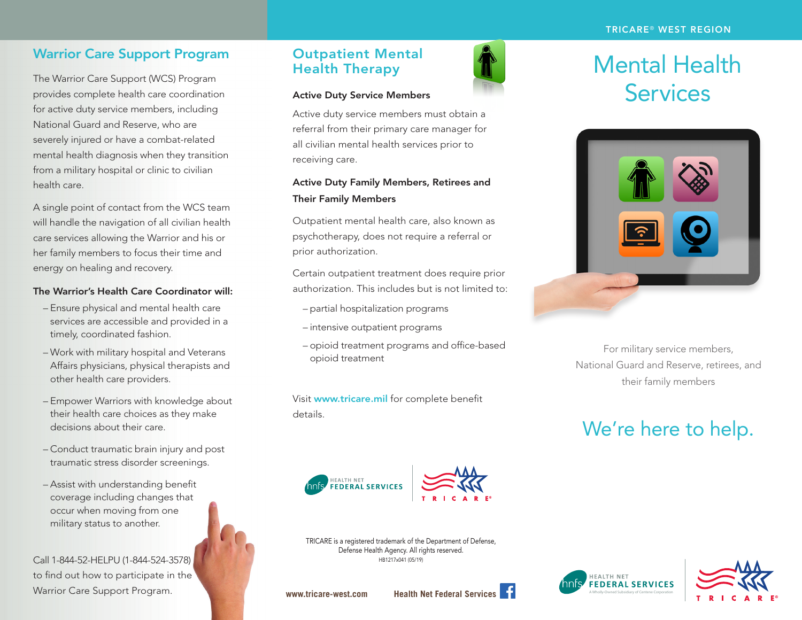## Warrior Care Support Program

The Warrior Care Support (WCS) Program provides complete health care coordination for active duty service members, including National Guard and Reserve, who are severely injured or have a combat-related mental health diagnosis when they transition from a military hospital or clinic to civilian health care.

A single point of contact from the WCS team will handle the navigation of all civilian health care services allowing the Warrior and his or her family members to focus their time and energy on healing and recovery.

#### The Warrior's Health Care Coordinator will:

- Ensure physical and mental health care services are accessible and provided in a timely, coordinated fashion.
- Work with military hospital and Veterans Affairs physicians, physical therapists and other health care providers.
- Empower Warriors with knowledge about their health care choices as they make decisions about their care.
- Conduct traumatic brain injury and post traumatic stress disorder screenings.
- Assist with understanding benefit coverage including changes that occur when moving from one military status to another.

Call 1-844-52-HELPU (1-844-524-3578) to find out how to participate in the Warrior Care Support Program. We have been a wide www.tricare-west.com Health Net Federal Services of Centene Corporation

## Outpatient Mental Health Therapy

### Active Duty Service Members

Active duty service members must obtain a referral from their primary care manager for all civilian mental health services prior to receiving care.

### Active Duty Family Members, Retirees and Their Family Members

Outpatient mental health care, also known as psychotherapy, does not require a referral or prior authorization.

Certain outpatient treatment does require prior authorization. This includes but is not limited to:

- partial hospitalization programs
- intensive outpatient programs
- opioid treatment programs and office-based opioid treatment

Visit www.tricare.mil for complete benefit details.



# Mental Health **Services**



For military service members, National Guard and Reserve, retirees, and their family members

## We're here to help.





TRICARE is a registered trademark of the Department of Defense, Defense Health Agency. All rights reserved. HB1217x041 (05/19)